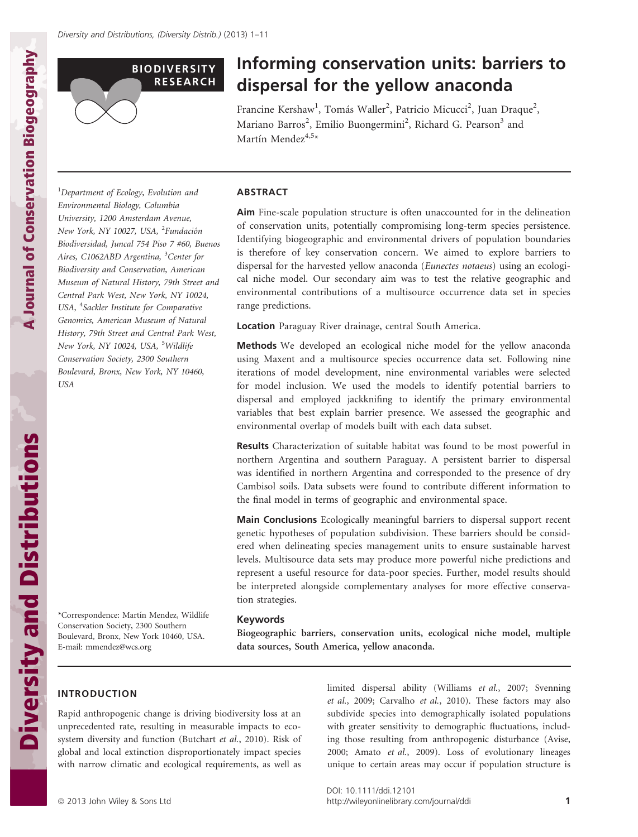

# Informing conservation units: barriers to dispersal for the yellow anaconda

Francine Kershaw<sup>1</sup>, Tomás Waller<sup>2</sup>, Patricio Micucci<sup>2</sup>, Juan Draque<sup>2</sup>, Mariano Barros<sup>2</sup>, Emilio Buongermini<sup>2</sup>, Richard G. Pearson<sup>3</sup> and Martín Mendez $4.5*$ 

<sup>1</sup>Department of Ecology, Evolution and Environmental Biology, Columbia University, 1200 Amsterdam Avenue, New York, NY 10027, USA, <sup>2</sup>Fundación Biodiversidad, Juncal 754 Piso 7 #60, Buenos Aires, C1062ABD Argentina, <sup>3</sup>Center for Biodiversity and Conservation, American Museum of Natural History, 79th Street and Central Park West, New York, NY 10024, USA, <sup>4</sup>Sackler Institute for Comparative Genomics, American Museum of Natural History, 79th Street and Central Park West, New York, NY 10024, USA, <sup>5</sup>Wildlife Conservation Society, 2300 Southern Boulevard, Bronx, New York, NY 10460, **IISA** 

## ABSTRACT

Aim Fine-scale population structure is often unaccounted for in the delineation of conservation units, potentially compromising long-term species persistence. Identifying biogeographic and environmental drivers of population boundaries is therefore of key conservation concern. We aimed to explore barriers to dispersal for the harvested yellow anaconda (Eunectes notaeus) using an ecological niche model. Our secondary aim was to test the relative geographic and environmental contributions of a multisource occurrence data set in species range predictions.

Location Paraguay River drainage, central South America.

Methods We developed an ecological niche model for the yellow anaconda using Maxent and a multisource species occurrence data set. Following nine iterations of model development, nine environmental variables were selected for model inclusion. We used the models to identify potential barriers to dispersal and employed jackknifing to identify the primary environmental variables that best explain barrier presence. We assessed the geographic and environmental overlap of models built with each data subset.

Results Characterization of suitable habitat was found to be most powerful in northern Argentina and southern Paraguay. A persistent barrier to dispersal was identified in northern Argentina and corresponded to the presence of dry Cambisol soils. Data subsets were found to contribute different information to the final model in terms of geographic and environmental space.

Main Conclusions Ecologically meaningful barriers to dispersal support recent genetic hypotheses of population subdivision. These barriers should be considered when delineating species management units to ensure sustainable harvest levels. Multisource data sets may produce more powerful niche predictions and represent a useful resource for data-poor species. Further, model results should be interpreted alongside complementary analyses for more effective conservation strategies.

#### Keywords

Biogeographic barriers, conservation units, ecological niche model, multiple data sources, South America, yellow anaconda.

INTRODUCTION

Rapid anthropogenic change is driving biodiversity loss at an unprecedented rate, resulting in measurable impacts to ecosystem diversity and function (Butchart et al., 2010). Risk of global and local extinction disproportionately impact species with narrow climatic and ecological requirements, as well as limited dispersal ability (Williams et al., 2007; Svenning et al., 2009; Carvalho et al., 2010). These factors may also subdivide species into demographically isolated populations with greater sensitivity to demographic fluctuations, including those resulting from anthropogenic disturbance (Avise, 2000; Amato et al., 2009). Loss of evolutionary lineages unique to certain areas may occur if population structure is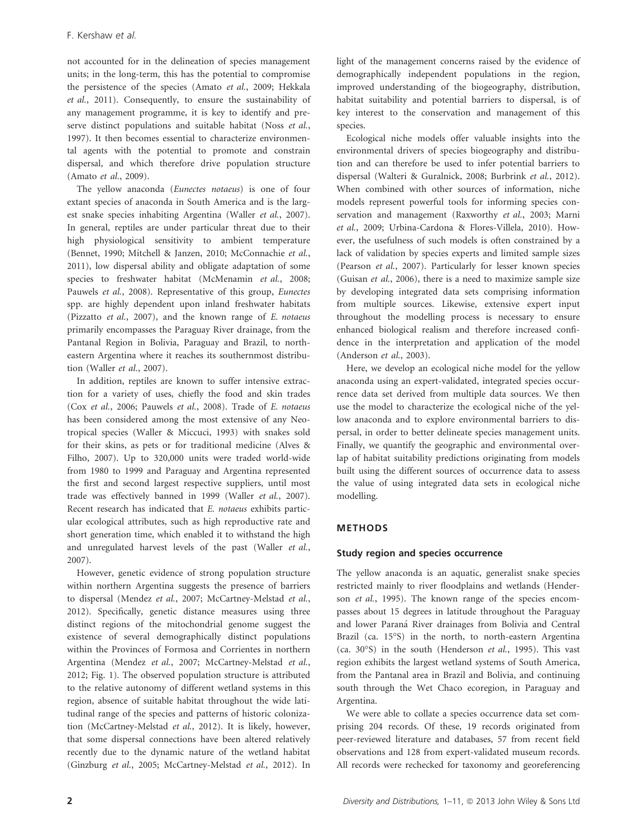not accounted for in the delineation of species management units; in the long-term, this has the potential to compromise the persistence of the species (Amato et al., 2009; Hekkala et al., 2011). Consequently, to ensure the sustainability of any management programme, it is key to identify and preserve distinct populations and suitable habitat (Noss et al., 1997). It then becomes essential to characterize environmental agents with the potential to promote and constrain dispersal, and which therefore drive population structure (Amato et al., 2009).

The yellow anaconda (Eunectes notaeus) is one of four extant species of anaconda in South America and is the largest snake species inhabiting Argentina (Waller et al., 2007). In general, reptiles are under particular threat due to their high physiological sensitivity to ambient temperature (Bennet, 1990; Mitchell & Janzen, 2010; McConnachie et al., 2011), low dispersal ability and obligate adaptation of some species to freshwater habitat (McMenamin et al., 2008; Pauwels et al., 2008). Representative of this group, Eunectes spp. are highly dependent upon inland freshwater habitats (Pizzatto et al., 2007), and the known range of E. notaeus primarily encompasses the Paraguay River drainage, from the Pantanal Region in Bolivia, Paraguay and Brazil, to northeastern Argentina where it reaches its southernmost distribution (Waller et al., 2007).

In addition, reptiles are known to suffer intensive extraction for a variety of uses, chiefly the food and skin trades (Cox et al., 2006; Pauwels et al., 2008). Trade of E. notaeus has been considered among the most extensive of any Neotropical species (Waller & Miccuci, 1993) with snakes sold for their skins, as pets or for traditional medicine (Alves & Filho, 2007). Up to 320,000 units were traded world-wide from 1980 to 1999 and Paraguay and Argentina represented the first and second largest respective suppliers, until most trade was effectively banned in 1999 (Waller et al., 2007). Recent research has indicated that E. notaeus exhibits particular ecological attributes, such as high reproductive rate and short generation time, which enabled it to withstand the high and unregulated harvest levels of the past (Waller et al., 2007).

However, genetic evidence of strong population structure within northern Argentina suggests the presence of barriers to dispersal (Mendez et al., 2007; McCartney-Melstad et al., 2012). Specifically, genetic distance measures using three distinct regions of the mitochondrial genome suggest the existence of several demographically distinct populations within the Provinces of Formosa and Corrientes in northern Argentina (Mendez et al., 2007; McCartney-Melstad et al., 2012; Fig. 1). The observed population structure is attributed to the relative autonomy of different wetland systems in this region, absence of suitable habitat throughout the wide latitudinal range of the species and patterns of historic colonization (McCartney-Melstad et al., 2012). It is likely, however, that some dispersal connections have been altered relatively recently due to the dynamic nature of the wetland habitat (Ginzburg et al., 2005; McCartney-Melstad et al., 2012). In

light of the management concerns raised by the evidence of demographically independent populations in the region, improved understanding of the biogeography, distribution, habitat suitability and potential barriers to dispersal, is of key interest to the conservation and management of this species.

Ecological niche models offer valuable insights into the environmental drivers of species biogeography and distribution and can therefore be used to infer potential barriers to dispersal (Walteri & Guralnick, 2008; Burbrink et al., 2012). When combined with other sources of information, niche models represent powerful tools for informing species conservation and management (Raxworthy et al., 2003; Marni et al., 2009; Urbina-Cardona & Flores-Villela, 2010). However, the usefulness of such models is often constrained by a lack of validation by species experts and limited sample sizes (Pearson et al., 2007). Particularly for lesser known species (Guisan et al., 2006), there is a need to maximize sample size by developing integrated data sets comprising information from multiple sources. Likewise, extensive expert input throughout the modelling process is necessary to ensure enhanced biological realism and therefore increased confidence in the interpretation and application of the model (Anderson et al., 2003).

Here, we develop an ecological niche model for the yellow anaconda using an expert-validated, integrated species occurrence data set derived from multiple data sources. We then use the model to characterize the ecological niche of the yellow anaconda and to explore environmental barriers to dispersal, in order to better delineate species management units. Finally, we quantify the geographic and environmental overlap of habitat suitability predictions originating from models built using the different sources of occurrence data to assess the value of using integrated data sets in ecological niche modelling.

# METHODS

## Study region and species occurrence

The yellow anaconda is an aquatic, generalist snake species restricted mainly to river floodplains and wetlands (Henderson et al., 1995). The known range of the species encompasses about 15 degrees in latitude throughout the Paraguay and lower Paraná River drainages from Bolivia and Central Brazil (ca. 15°S) in the north, to north-eastern Argentina (ca. 30°S) in the south (Henderson et al., 1995). This vast region exhibits the largest wetland systems of South America, from the Pantanal area in Brazil and Bolivia, and continuing south through the Wet Chaco ecoregion, in Paraguay and Argentina.

We were able to collate a species occurrence data set comprising 204 records. Of these, 19 records originated from peer-reviewed literature and databases, 57 from recent field observations and 128 from expert-validated museum records. All records were rechecked for taxonomy and georeferencing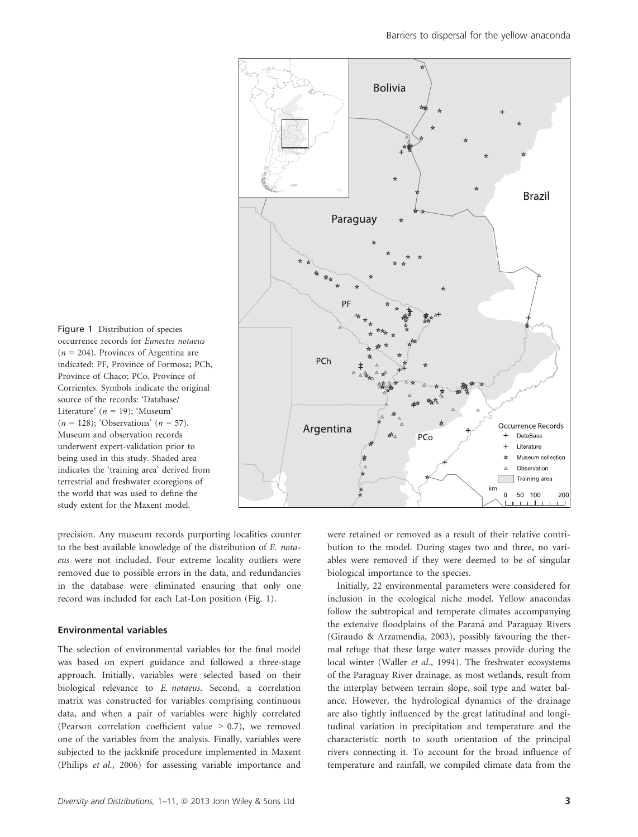

Figure 1 Distribution of species occurrence records for Eunectes notaeus  $(n = 204)$ . Provinces of Argentina are indicated: PF, Province of Formosa; PCh, Province of Chaco; PCo, Province of Corrientes. Symbols indicate the original source of the records: 'Database/ Literature' ( $n = 19$ ); 'Museum'  $(n = 128)$ ; 'Observations'  $(n = 57)$ . Museum and observation records underwent expert-validation prior to being used in this study. Shaded area indicates the 'training area' derived from terrestrial and freshwater ecoregions of the world that was used to define the study extent for the Maxent model.

precision. Any museum records purporting localities counter to the best available knowledge of the distribution of E. notaeus were not included. Four extreme locality outliers were removed due to possible errors in the data, and redundancies in the database were eliminated ensuring that only one record was included for each Lat-Lon position (Fig. 1).

## Environmental variables

The selection of environmental variables for the final model was based on expert guidance and followed a three-stage approach. Initially, variables were selected based on their biological relevance to E. notaeus. Second, a correlation matrix was constructed for variables comprising continuous data, and when a pair of variables were highly correlated (Pearson correlation coefficient value > 0.7), we removed one of the variables from the analysis. Finally, variables were subjected to the jackknife procedure implemented in Maxent (Philips et al., 2006) for assessing variable importance and were retained or removed as a result of their relative contribution to the model. During stages two and three, no variables were removed if they were deemed to be of singular biological importance to the species.

Initially, 22 environmental parameters were considered for inclusion in the ecological niche model. Yellow anacondas follow the subtropical and temperate climates accompanying the extensive floodplains of the Paraná and Paraguay Rivers (Giraudo & Arzamendia, 2003), possibly favouring the thermal refuge that these large water masses provide during the local winter (Waller et al., 1994). The freshwater ecosystems of the Paraguay River drainage, as most wetlands, result from the interplay between terrain slope, soil type and water balance. However, the hydrological dynamics of the drainage are also tightly influenced by the great latitudinal and longitudinal variation in precipitation and temperature and the characteristic north to south orientation of the principal rivers connecting it. To account for the broad influence of temperature and rainfall, we compiled climate data from the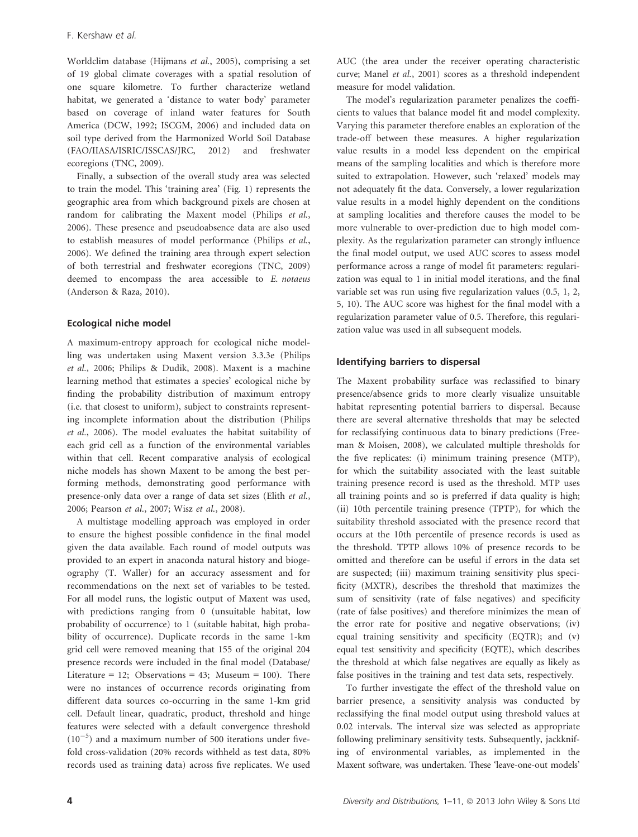Worldclim database (Hijmans et al., 2005), comprising a set of 19 global climate coverages with a spatial resolution of one square kilometre. To further characterize wetland habitat, we generated a 'distance to water body' parameter based on coverage of inland water features for South America (DCW, 1992; ISCGM, 2006) and included data on soil type derived from the Harmonized World Soil Database (FAO/IIASA/ISRIC/ISSCAS/JRC, 2012) and freshwater ecoregions (TNC, 2009).

Finally, a subsection of the overall study area was selected to train the model. This 'training area' (Fig. 1) represents the geographic area from which background pixels are chosen at random for calibrating the Maxent model (Philips et al., 2006). These presence and pseudoabsence data are also used to establish measures of model performance (Philips et al., 2006). We defined the training area through expert selection of both terrestrial and freshwater ecoregions (TNC, 2009) deemed to encompass the area accessible to E. notaeus (Anderson & Raza, 2010).

## Ecological niche model

A maximum-entropy approach for ecological niche modelling was undertaken using Maxent version 3.3.3e (Philips et al., 2006; Philips & Dudik, 2008). Maxent is a machine learning method that estimates a species' ecological niche by finding the probability distribution of maximum entropy (i.e. that closest to uniform), subject to constraints representing incomplete information about the distribution (Philips et al., 2006). The model evaluates the habitat suitability of each grid cell as a function of the environmental variables within that cell. Recent comparative analysis of ecological niche models has shown Maxent to be among the best performing methods, demonstrating good performance with presence-only data over a range of data set sizes (Elith et al., 2006; Pearson et al., 2007; Wisz et al., 2008).

A multistage modelling approach was employed in order to ensure the highest possible confidence in the final model given the data available. Each round of model outputs was provided to an expert in anaconda natural history and biogeography (T. Waller) for an accuracy assessment and for recommendations on the next set of variables to be tested. For all model runs, the logistic output of Maxent was used, with predictions ranging from 0 (unsuitable habitat, low probability of occurrence) to 1 (suitable habitat, high probability of occurrence). Duplicate records in the same 1-km grid cell were removed meaning that 155 of the original 204 presence records were included in the final model (Database/ Literature = 12; Observations = 43; Museum = 100). There were no instances of occurrence records originating from different data sources co-occurring in the same 1-km grid cell. Default linear, quadratic, product, threshold and hinge features were selected with a default convergence threshold  $(10^{-5})$  and a maximum number of 500 iterations under fivefold cross-validation (20% records withheld as test data, 80% records used as training data) across five replicates. We used AUC (the area under the receiver operating characteristic curve; Manel et al., 2001) scores as a threshold independent measure for model validation.

The model's regularization parameter penalizes the coefficients to values that balance model fit and model complexity. Varying this parameter therefore enables an exploration of the trade-off between these measures. A higher regularization value results in a model less dependent on the empirical means of the sampling localities and which is therefore more suited to extrapolation. However, such 'relaxed' models may not adequately fit the data. Conversely, a lower regularization value results in a model highly dependent on the conditions at sampling localities and therefore causes the model to be more vulnerable to over-prediction due to high model complexity. As the regularization parameter can strongly influence the final model output, we used AUC scores to assess model performance across a range of model fit parameters: regularization was equal to 1 in initial model iterations, and the final variable set was run using five regularization values (0.5, 1, 2, 5, 10). The AUC score was highest for the final model with a regularization parameter value of 0.5. Therefore, this regularization value was used in all subsequent models.

## Identifying barriers to dispersal

The Maxent probability surface was reclassified to binary presence/absence grids to more clearly visualize unsuitable habitat representing potential barriers to dispersal. Because there are several alternative thresholds that may be selected for reclassifying continuous data to binary predictions (Freeman & Moisen, 2008), we calculated multiple thresholds for the five replicates: (i) minimum training presence (MTP), for which the suitability associated with the least suitable training presence record is used as the threshold. MTP uses all training points and so is preferred if data quality is high; (ii) 10th percentile training presence (TPTP), for which the suitability threshold associated with the presence record that occurs at the 10th percentile of presence records is used as the threshold. TPTP allows 10% of presence records to be omitted and therefore can be useful if errors in the data set are suspected; (iii) maximum training sensitivity plus specificity (MXTR), describes the threshold that maximizes the sum of sensitivity (rate of false negatives) and specificity (rate of false positives) and therefore minimizes the mean of the error rate for positive and negative observations; (iv) equal training sensitivity and specificity (EQTR); and (v) equal test sensitivity and specificity (EQTE), which describes the threshold at which false negatives are equally as likely as false positives in the training and test data sets, respectively.

To further investigate the effect of the threshold value on barrier presence, a sensitivity analysis was conducted by reclassifying the final model output using threshold values at 0.02 intervals. The interval size was selected as appropriate following preliminary sensitivity tests. Subsequently, jackknifing of environmental variables, as implemented in the Maxent software, was undertaken. These 'leave-one-out models'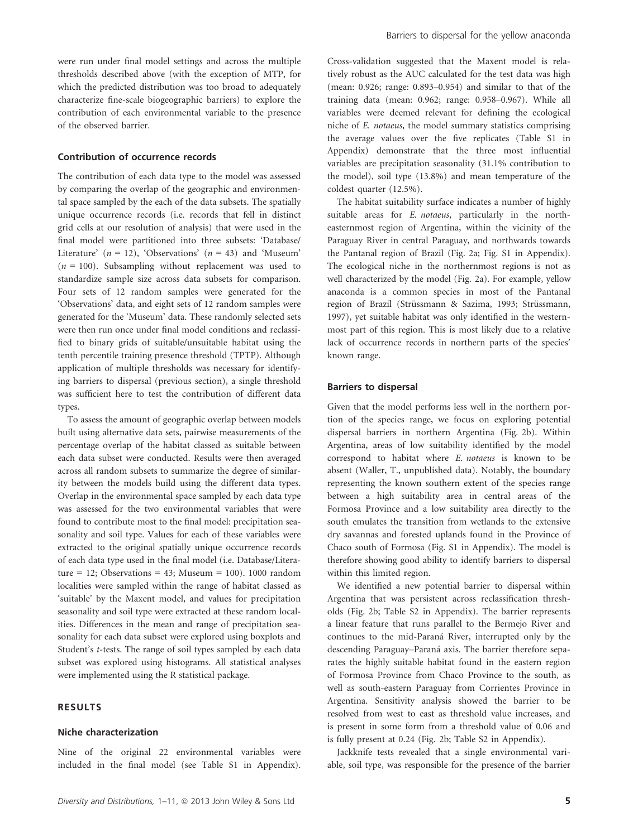were run under final model settings and across the multiple thresholds described above (with the exception of MTP, for which the predicted distribution was too broad to adequately characterize fine-scale biogeographic barriers) to explore the contribution of each environmental variable to the presence of the observed barrier.

# Contribution of occurrence records

The contribution of each data type to the model was assessed by comparing the overlap of the geographic and environmental space sampled by the each of the data subsets. The spatially unique occurrence records (i.e. records that fell in distinct grid cells at our resolution of analysis) that were used in the final model were partitioned into three subsets: 'Database/ Literature'  $(n = 12)$ , 'Observations'  $(n = 43)$  and 'Museum'  $(n = 100)$ . Subsampling without replacement was used to standardize sample size across data subsets for comparison. Four sets of 12 random samples were generated for the 'Observations' data, and eight sets of 12 random samples were generated for the 'Museum' data. These randomly selected sets were then run once under final model conditions and reclassified to binary grids of suitable/unsuitable habitat using the tenth percentile training presence threshold (TPTP). Although application of multiple thresholds was necessary for identifying barriers to dispersal (previous section), a single threshold was sufficient here to test the contribution of different data types.

To assess the amount of geographic overlap between models built using alternative data sets, pairwise measurements of the percentage overlap of the habitat classed as suitable between each data subset were conducted. Results were then averaged across all random subsets to summarize the degree of similarity between the models build using the different data types. Overlap in the environmental space sampled by each data type was assessed for the two environmental variables that were found to contribute most to the final model: precipitation seasonality and soil type. Values for each of these variables were extracted to the original spatially unique occurrence records of each data type used in the final model (i.e. Database/Literature = 12; Observations = 43; Museum = 100). 1000 random localities were sampled within the range of habitat classed as 'suitable' by the Maxent model, and values for precipitation seasonality and soil type were extracted at these random localities. Differences in the mean and range of precipitation seasonality for each data subset were explored using boxplots and Student's t-tests. The range of soil types sampled by each data subset was explored using histograms. All statistical analyses were implemented using the R statistical package.

## RESULTS

## Niche characterization

Nine of the original 22 environmental variables were included in the final model (see Table S1 in Appendix). Cross-validation suggested that the Maxent model is relatively robust as the AUC calculated for the test data was high (mean: 0.926; range: 0.893–0.954) and similar to that of the training data (mean: 0.962; range: 0.958–0.967). While all variables were deemed relevant for defining the ecological niche of E. notaeus, the model summary statistics comprising the average values over the five replicates (Table S1 in Appendix) demonstrate that the three most influential variables are precipitation seasonality (31.1% contribution to the model), soil type (13.8%) and mean temperature of the coldest quarter (12.5%).

The habitat suitability surface indicates a number of highly suitable areas for E. notaeus, particularly in the northeasternmost region of Argentina, within the vicinity of the Paraguay River in central Paraguay, and northwards towards the Pantanal region of Brazil (Fig. 2a; Fig. S1 in Appendix). The ecological niche in the northernmost regions is not as well characterized by the model (Fig. 2a). For example, yellow anaconda is a common species in most of the Pantanal region of Brazil (Strüssmann & Sazima, 1993; Strüssmann, 1997), yet suitable habitat was only identified in the westernmost part of this region. This is most likely due to a relative lack of occurrence records in northern parts of the species' known range.

#### Barriers to dispersal

Given that the model performs less well in the northern portion of the species range, we focus on exploring potential dispersal barriers in northern Argentina (Fig. 2b). Within Argentina, areas of low suitability identified by the model correspond to habitat where E. notaeus is known to be absent (Waller, T., unpublished data). Notably, the boundary representing the known southern extent of the species range between a high suitability area in central areas of the Formosa Province and a low suitability area directly to the south emulates the transition from wetlands to the extensive dry savannas and forested uplands found in the Province of Chaco south of Formosa (Fig. S1 in Appendix). The model is therefore showing good ability to identify barriers to dispersal within this limited region.

We identified a new potential barrier to dispersal within Argentina that was persistent across reclassification thresholds (Fig. 2b; Table S2 in Appendix). The barrier represents a linear feature that runs parallel to the Bermejo River and continues to the mid-Paraná River, interrupted only by the descending Paraguay–Paraná axis. The barrier therefore separates the highly suitable habitat found in the eastern region of Formosa Province from Chaco Province to the south, as well as south-eastern Paraguay from Corrientes Province in Argentina. Sensitivity analysis showed the barrier to be resolved from west to east as threshold value increases, and is present in some form from a threshold value of 0.06 and is fully present at 0.24 (Fig. 2b; Table S2 in Appendix).

Jackknife tests revealed that a single environmental variable, soil type, was responsible for the presence of the barrier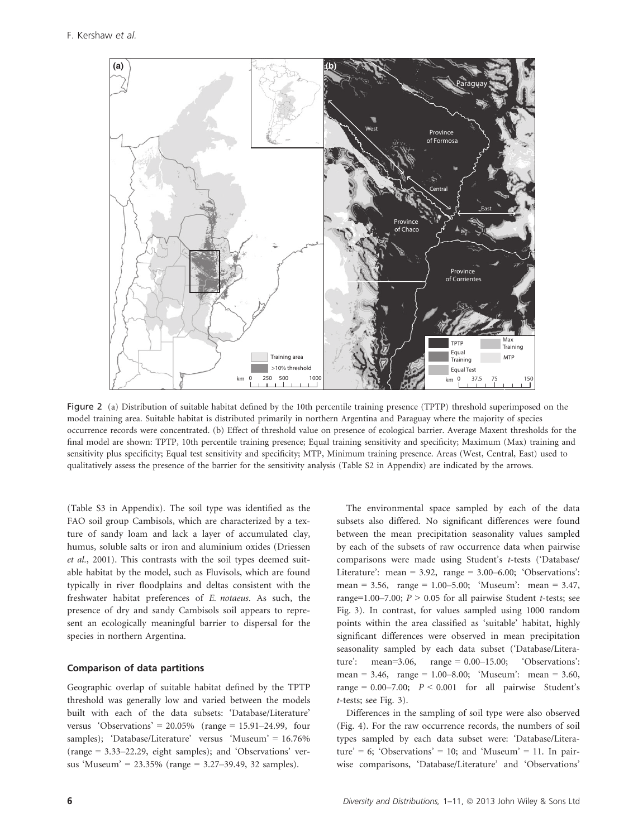

Figure 2 (a) Distribution of suitable habitat defined by the 10th percentile training presence (TPTP) threshold superimposed on the model training area. Suitable habitat is distributed primarily in northern Argentina and Paraguay where the majority of species occurrence records were concentrated. (b) Effect of threshold value on presence of ecological barrier. Average Maxent thresholds for the final model are shown: TPTP, 10th percentile training presence; Equal training sensitivity and specificity; Maximum (Max) training and sensitivity plus specificity; Equal test sensitivity and specificity; MTP, Minimum training presence. Areas (West, Central, East) used to qualitatively assess the presence of the barrier for the sensitivity analysis (Table S2 in Appendix) are indicated by the arrows.

(Table S3 in Appendix). The soil type was identified as the FAO soil group Cambisols, which are characterized by a texture of sandy loam and lack a layer of accumulated clay, humus, soluble salts or iron and aluminium oxides (Driessen et al., 2001). This contrasts with the soil types deemed suitable habitat by the model, such as Fluvisols, which are found typically in river floodplains and deltas consistent with the freshwater habitat preferences of E. notaeus. As such, the presence of dry and sandy Cambisols soil appears to represent an ecologically meaningful barrier to dispersal for the species in northern Argentina.

## Comparison of data partitions

Geographic overlap of suitable habitat defined by the TPTP threshold was generally low and varied between the models built with each of the data subsets: 'Database/Literature' versus 'Observations' =  $20.05\%$  (range = 15.91–24.99, four samples); 'Database/Literature' versus 'Museum' = 16.76% (range = 3.33–22.29, eight samples); and 'Observations' versus 'Museum' = 23.35% (range = 3.27–39.49, 32 samples).

The environmental space sampled by each of the data subsets also differed. No significant differences were found between the mean precipitation seasonality values sampled by each of the subsets of raw occurrence data when pairwise comparisons were made using Student's t-tests ('Database/ Literature': mean = 3.92, range =  $3.00-6.00$ ; 'Observations': mean = 3.56, range = 1.00–5.00; 'Museum': mean = 3.47, range=1.00–7.00;  $P > 0.05$  for all pairwise Student t-tests; see Fig. 3). In contrast, for values sampled using 1000 random points within the area classified as 'suitable' habitat, highly significant differences were observed in mean precipitation seasonality sampled by each data subset ('Database/Literature': mean=3.06, range =  $0.00-15.00$ ; 'Observations': mean = 3.46, range =  $1.00-8.00$ ; 'Museum': mean = 3.60, range =  $0.00-7.00$ ;  $P < 0.001$  for all pairwise Student's  $t$ -tests; see Fig. 3).

Differences in the sampling of soil type were also observed (Fig. 4). For the raw occurrence records, the numbers of soil types sampled by each data subset were: 'Database/Literature' = 6; 'Observations' = 10; and 'Museum' = 11. In pairwise comparisons, 'Database/Literature' and 'Observations'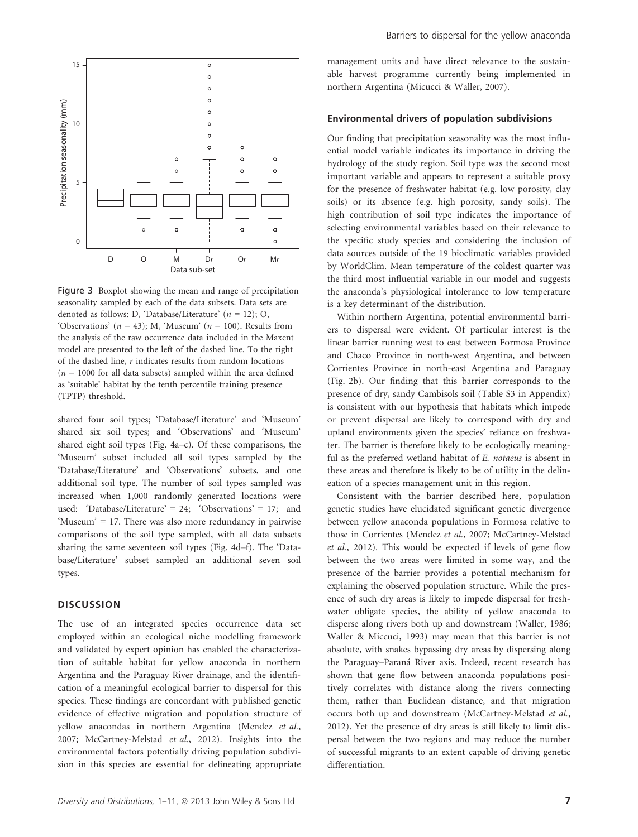

Figure 3 Boxplot showing the mean and range of precipitation seasonality sampled by each of the data subsets. Data sets are denoted as follows: D, 'Database/Literature'  $(n = 12)$ ; O, 'Observations' ( $n = 43$ ); M, 'Museum' ( $n = 100$ ). Results from the analysis of the raw occurrence data included in the Maxent model are presented to the left of the dashed line. To the right of the dashed line, r indicates results from random locations  $(n = 1000$  for all data subsets) sampled within the area defined as 'suitable' habitat by the tenth percentile training presence (TPTP) threshold.

shared four soil types; 'Database/Literature' and 'Museum' shared six soil types; and 'Observations' and 'Museum' shared eight soil types (Fig. 4a–c). Of these comparisons, the 'Museum' subset included all soil types sampled by the 'Database/Literature' and 'Observations' subsets, and one additional soil type. The number of soil types sampled was increased when 1,000 randomly generated locations were used: 'Database/Literature' = 24; 'Observations' = 17; and 'Museum'  $= 17$ . There was also more redundancy in pairwise comparisons of the soil type sampled, with all data subsets sharing the same seventeen soil types (Fig. 4d–f). The 'Database/Literature' subset sampled an additional seven soil types.

### **DISCUSSION**

The use of an integrated species occurrence data set employed within an ecological niche modelling framework and validated by expert opinion has enabled the characterization of suitable habitat for yellow anaconda in northern Argentina and the Paraguay River drainage, and the identification of a meaningful ecological barrier to dispersal for this species. These findings are concordant with published genetic evidence of effective migration and population structure of yellow anacondas in northern Argentina (Mendez et al., 2007; McCartney-Melstad et al., 2012). Insights into the environmental factors potentially driving population subdivision in this species are essential for delineating appropriate management units and have direct relevance to the sustainable harvest programme currently being implemented in northern Argentina (Micucci & Waller, 2007).

## Environmental drivers of population subdivisions

Our finding that precipitation seasonality was the most influential model variable indicates its importance in driving the hydrology of the study region. Soil type was the second most important variable and appears to represent a suitable proxy for the presence of freshwater habitat (e.g. low porosity, clay soils) or its absence (e.g. high porosity, sandy soils). The high contribution of soil type indicates the importance of selecting environmental variables based on their relevance to the specific study species and considering the inclusion of data sources outside of the 19 bioclimatic variables provided by WorldClim. Mean temperature of the coldest quarter was the third most influential variable in our model and suggests the anaconda's physiological intolerance to low temperature is a key determinant of the distribution.

Within northern Argentina, potential environmental barriers to dispersal were evident. Of particular interest is the linear barrier running west to east between Formosa Province and Chaco Province in north-west Argentina, and between Corrientes Province in north-east Argentina and Paraguay (Fig. 2b). Our finding that this barrier corresponds to the presence of dry, sandy Cambisols soil (Table S3 in Appendix) is consistent with our hypothesis that habitats which impede or prevent dispersal are likely to correspond with dry and upland environments given the species' reliance on freshwater. The barrier is therefore likely to be ecologically meaningful as the preferred wetland habitat of E. notaeus is absent in these areas and therefore is likely to be of utility in the delineation of a species management unit in this region.

Consistent with the barrier described here, population genetic studies have elucidated significant genetic divergence between yellow anaconda populations in Formosa relative to those in Corrientes (Mendez et al., 2007; McCartney-Melstad et al., 2012). This would be expected if levels of gene flow between the two areas were limited in some way, and the presence of the barrier provides a potential mechanism for explaining the observed population structure. While the presence of such dry areas is likely to impede dispersal for freshwater obligate species, the ability of yellow anaconda to disperse along rivers both up and downstream (Waller, 1986; Waller & Miccuci, 1993) may mean that this barrier is not absolute, with snakes bypassing dry areas by dispersing along the Paraguay–Paraná River axis. Indeed, recent research has shown that gene flow between anaconda populations positively correlates with distance along the rivers connecting them, rather than Euclidean distance, and that migration occurs both up and downstream (McCartney-Melstad et al., 2012). Yet the presence of dry areas is still likely to limit dispersal between the two regions and may reduce the number of successful migrants to an extent capable of driving genetic differentiation.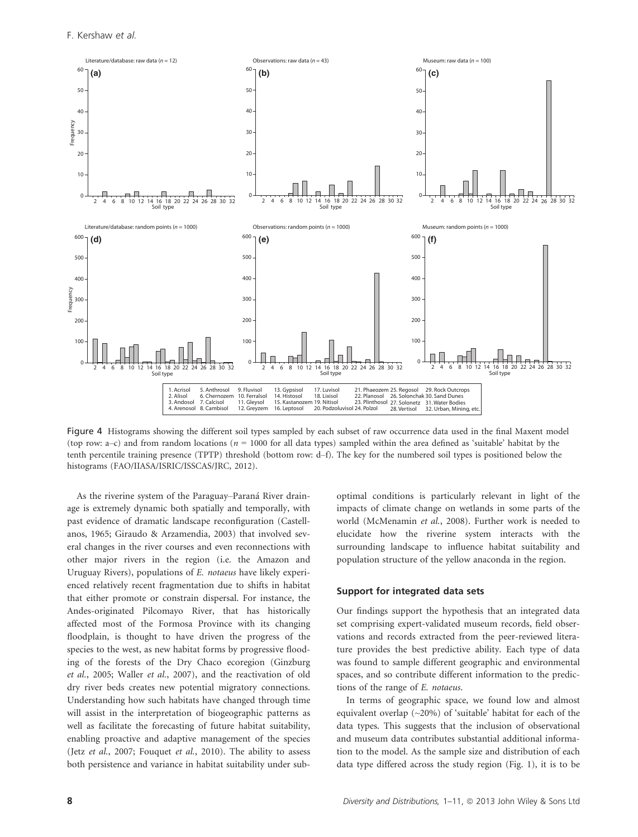

Figure 4 Histograms showing the different soil types sampled by each subset of raw occurrence data used in the final Maxent model (top row: a–c) and from random locations ( $n = 1000$  for all data types) sampled within the area defined as 'suitable' habitat by the tenth percentile training presence (TPTP) threshold (bottom row: d–f). The key for the numbered soil types is positioned below the histograms (FAO/IIASA/ISRIC/ISSCAS/JRC, 2012).

As the riverine system of the Paraguay–Paraná River drainage is extremely dynamic both spatially and temporally, with past evidence of dramatic landscape reconfiguration (Castellanos, 1965; Giraudo & Arzamendia, 2003) that involved several changes in the river courses and even reconnections with other major rivers in the region (i.e. the Amazon and Uruguay Rivers), populations of E. notaeus have likely experienced relatively recent fragmentation due to shifts in habitat that either promote or constrain dispersal. For instance, the Andes-originated Pilcomayo River, that has historically affected most of the Formosa Province with its changing floodplain, is thought to have driven the progress of the species to the west, as new habitat forms by progressive flooding of the forests of the Dry Chaco ecoregion (Ginzburg et al., 2005; Waller et al., 2007), and the reactivation of old dry river beds creates new potential migratory connections. Understanding how such habitats have changed through time will assist in the interpretation of biogeographic patterns as well as facilitate the forecasting of future habitat suitability, enabling proactive and adaptive management of the species (Jetz et al., 2007; Fouquet et al., 2010). The ability to assess both persistence and variance in habitat suitability under suboptimal conditions is particularly relevant in light of the impacts of climate change on wetlands in some parts of the world (McMenamin et al., 2008). Further work is needed to elucidate how the riverine system interacts with the surrounding landscape to influence habitat suitability and population structure of the yellow anaconda in the region.

## Support for integrated data sets

Our findings support the hypothesis that an integrated data set comprising expert-validated museum records, field observations and records extracted from the peer-reviewed literature provides the best predictive ability. Each type of data was found to sample different geographic and environmental spaces, and so contribute different information to the predictions of the range of E. notaeus.

In terms of geographic space, we found low and almost equivalent overlap (~20%) of 'suitable' habitat for each of the data types. This suggests that the inclusion of observational and museum data contributes substantial additional information to the model. As the sample size and distribution of each data type differed across the study region (Fig. 1), it is to be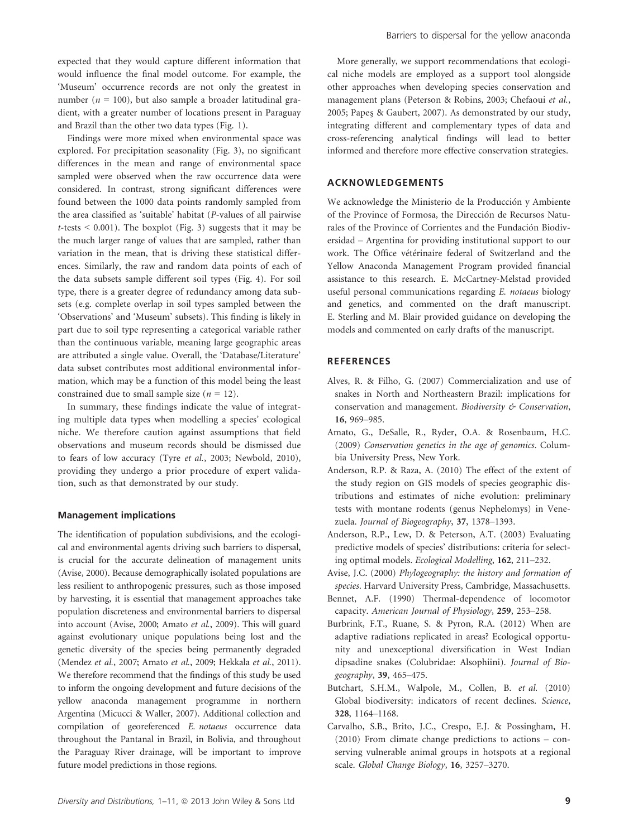expected that they would capture different information that would influence the final model outcome. For example, the 'Museum' occurrence records are not only the greatest in number ( $n = 100$ ), but also sample a broader latitudinal gradient, with a greater number of locations present in Paraguay and Brazil than the other two data types (Fig. 1).

Findings were more mixed when environmental space was explored. For precipitation seasonality (Fig. 3), no significant differences in the mean and range of environmental space sampled were observed when the raw occurrence data were considered. In contrast, strong significant differences were found between the 1000 data points randomly sampled from the area classified as 'suitable' habitat (P-values of all pairwise  $t$ -tests < 0.001). The boxplot (Fig. 3) suggests that it may be the much larger range of values that are sampled, rather than variation in the mean, that is driving these statistical differences. Similarly, the raw and random data points of each of the data subsets sample different soil types (Fig. 4). For soil type, there is a greater degree of redundancy among data subsets (e.g. complete overlap in soil types sampled between the 'Observations' and 'Museum' subsets). This finding is likely in part due to soil type representing a categorical variable rather than the continuous variable, meaning large geographic areas are attributed a single value. Overall, the 'Database/Literature' data subset contributes most additional environmental information, which may be a function of this model being the least constrained due to small sample size  $(n = 12)$ .

In summary, these findings indicate the value of integrating multiple data types when modelling a species' ecological niche. We therefore caution against assumptions that field observations and museum records should be dismissed due to fears of low accuracy (Tyre et al., 2003; Newbold, 2010), providing they undergo a prior procedure of expert validation, such as that demonstrated by our study.

#### Management implications

The identification of population subdivisions, and the ecological and environmental agents driving such barriers to dispersal, is crucial for the accurate delineation of management units (Avise, 2000). Because demographically isolated populations are less resilient to anthropogenic pressures, such as those imposed by harvesting, it is essential that management approaches take population discreteness and environmental barriers to dispersal into account (Avise, 2000; Amato et al., 2009). This will guard against evolutionary unique populations being lost and the genetic diversity of the species being permanently degraded (Mendez et al., 2007; Amato et al., 2009; Hekkala et al., 2011). We therefore recommend that the findings of this study be used to inform the ongoing development and future decisions of the yellow anaconda management programme in northern Argentina (Micucci & Waller, 2007). Additional collection and compilation of georeferenced E. notaeus occurrence data throughout the Pantanal in Brazil, in Bolivia, and throughout the Paraguay River drainage, will be important to improve future model predictions in those regions.

More generally, we support recommendations that ecological niche models are employed as a support tool alongside other approaches when developing species conservation and management plans (Peterson & Robins, 2003; Chefaoui et al., 2005; Papes & Gaubert, 2007). As demonstrated by our study, integrating different and complementary types of data and cross-referencing analytical findings will lead to better informed and therefore more effective conservation strategies.

# ACKNOWLEDGEMENTS

We acknowledge the Ministerio de la Producción y Ambiente of the Province of Formosa, the Direccion de Recursos Natu rales of the Province of Corrientes and the Fundacion Biodiv ersidad – Argentina for providing institutional support to our work. The Office vétérinaire federal of Switzerland and the Yellow Anaconda Management Program provided financial assistance to this research. E. McCartney-Melstad provided useful personal communications regarding E. notaeus biology and genetics, and commented on the draft manuscript. E. Sterling and M. Blair provided guidance on developing the models and commented on early drafts of the manuscript.

## **REFERENCES**

- Alves, R. & Filho, G. (2007) Commercialization and use of snakes in North and Northeastern Brazil: implications for conservation and management. Biodiversity & Conservation, 16, 969–985.
- Amato, G., DeSalle, R., Ryder, O.A. & Rosenbaum, H.C. (2009) Conservation genetics in the age of genomics. Columbia University Press, New York.
- Anderson, R.P. & Raza, A. (2010) The effect of the extent of the study region on GIS models of species geographic distributions and estimates of niche evolution: preliminary tests with montane rodents (genus Nephelomys) in Venezuela. Journal of Biogeography, 37, 1378–1393.
- Anderson, R.P., Lew, D. & Peterson, A.T. (2003) Evaluating predictive models of species' distributions: criteria for selecting optimal models. Ecological Modelling, 162, 211–232.
- Avise, J.C. (2000) Phylogeography: the history and formation of species. Harvard University Press, Cambridge, Massachusetts.
- Bennet, A.F. (1990) Thermal-dependence of locomotor capacity. American Journal of Physiology, 259, 253–258.
- Burbrink, F.T., Ruane, S. & Pyron, R.A. (2012) When are adaptive radiations replicated in areas? Ecological opportunity and unexceptional diversification in West Indian dipsadine snakes (Colubridae: Alsophiini). Journal of Biogeography, 39, 465–475.
- Butchart, S.H.M., Walpole, M., Collen, B. et al. (2010) Global biodiversity: indicators of recent declines. Science, 328, 1164–1168.
- Carvalho, S.B., Brito, J.C., Crespo, E.J. & Possingham, H. (2010) From climate change predictions to actions – conserving vulnerable animal groups in hotspots at a regional scale. Global Change Biology, 16, 3257–3270.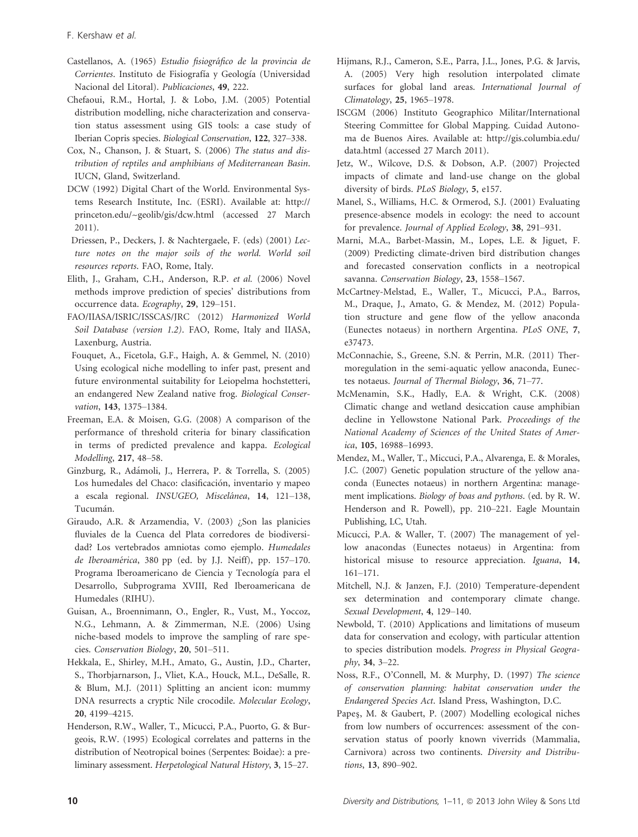- Castellanos, A. (1965) Estudio fisiografico de la provincia de Corrientes. Instituto de Fisiografía y Geología (Universidad Nacional del Litoral). Publicaciones, 49, 222.
- Chefaoui, R.M., Hortal, J. & Lobo, J.M. (2005) Potential distribution modelling, niche characterization and conservation status assessment using GIS tools: a case study of Iberian Copris species. Biological Conservation, 122, 327–338.
- Cox, N., Chanson, J. & Stuart, S. (2006) The status and distribution of reptiles and amphibians of Mediterranean Basin. IUCN, Gland, Switzerland.
- DCW (1992) Digital Chart of the World. Environmental Systems Research Institute, Inc. (ESRI). Available at: http:// princeton.edu/~geolib/gis/dcw.html (accessed 27 March 2011).
- Driessen, P., Deckers, J. & Nachtergaele, F. (eds) (2001) Lecture notes on the major soils of the world. World soil resources reports. FAO, Rome, Italy.
- Elith, J., Graham, C.H., Anderson, R.P. et al. (2006) Novel methods improve prediction of species' distributions from occurrence data. Ecography, 29, 129–151.
- FAO/IIASA/ISRIC/ISSCAS/JRC (2012) Harmonized World Soil Database (version 1.2). FAO, Rome, Italy and IIASA, Laxenburg, Austria.
- Fouquet, A., Ficetola, G.F., Haigh, A. & Gemmel, N. (2010) Using ecological niche modelling to infer past, present and future environmental suitability for Leiopelma hochstetteri, an endangered New Zealand native frog. Biological Conservation, 143, 1375–1384.
- Freeman, E.A. & Moisen, G.G. (2008) A comparison of the performance of threshold criteria for binary classification in terms of predicted prevalence and kappa. Ecological Modelling, 217, 48–58.
- Ginzburg, R., Adámoli, J., Herrera, P. & Torrella, S. (2005) Los humedales del Chaco: clasificación, inventario y mapeo a escala regional. INSUGEO, Miscelánea, 14, 121-138, Tucumán.
- Giraudo, A.R. & Arzamendia, V. (2003) ¿Son las planicies fluviales de la Cuenca del Plata corredores de biodiversidad? Los vertebrados amniotas como ejemplo. Humedales de Iberoamérica, 380 pp (ed. by J.J. Neiff), pp. 157-170. Programa Iberoamericano de Ciencia y Tecnología para el Desarrollo, Subprograma XVIII, Red Iberoamericana de Humedales (RIHU).
- Guisan, A., Broennimann, O., Engler, R., Vust, M., Yoccoz, N.G., Lehmann, A. & Zimmerman, N.E. (2006) Using niche-based models to improve the sampling of rare species. Conservation Biology, 20, 501–511.
- Hekkala, E., Shirley, M.H., Amato, G., Austin, J.D., Charter, S., Thorbjarnarson, J., Vliet, K.A., Houck, M.L., DeSalle, R. & Blum, M.J. (2011) Splitting an ancient icon: mummy DNA resurrects a cryptic Nile crocodile. Molecular Ecology, 20, 4199–4215.
- Henderson, R.W., Waller, T., Micucci, P.A., Puorto, G. & Burgeois, R.W. (1995) Ecological correlates and patterns in the distribution of Neotropical boines (Serpentes: Boidae): a preliminary assessment. Herpetological Natural History, 3, 15–27.
- Hijmans, R.J., Cameron, S.E., Parra, J.L., Jones, P.G. & Jarvis, A. (2005) Very high resolution interpolated climate surfaces for global land areas. International Journal of Climatology, 25, 1965–1978.
- ISCGM (2006) Instituto Geographico Militar/International Steering Committee for Global Mapping. Cuidad Autonoma de Buenos Aires. Available at: http://gis.columbia.edu/ data.html (accessed 27 March 2011).
- Jetz, W., Wilcove, D.S. & Dobson, A.P. (2007) Projected impacts of climate and land-use change on the global diversity of birds. PLoS Biology, 5, e157.
- Manel, S., Williams, H.C. & Ormerod, S.J. (2001) Evaluating presence-absence models in ecology: the need to account for prevalence. Journal of Applied Ecology, 38, 291–931.
- Marni, M.A., Barbet-Massin, M., Lopes, L.E. & Jiguet, F. (2009) Predicting climate-driven bird distribution changes and forecasted conservation conflicts in a neotropical savanna. Conservation Biology, 23, 1558-1567.
- McCartney-Melstad, E., Waller, T., Micucci, P.A., Barros, M., Draque, J., Amato, G. & Mendez, M. (2012) Population structure and gene flow of the yellow anaconda (Eunectes notaeus) in northern Argentina. PLoS ONE, 7, e37473.
- McConnachie, S., Greene, S.N. & Perrin, M.R. (2011) Thermoregulation in the semi-aquatic yellow anaconda, Eunectes notaeus. Journal of Thermal Biology, 36, 71–77.
- McMenamin, S.K., Hadly, E.A. & Wright, C.K. (2008) Climatic change and wetland desiccation cause amphibian decline in Yellowstone National Park. Proceedings of the National Academy of Sciences of the United States of America, 105, 16988–16993.
- Mendez, M., Waller, T., Miccuci, P.A., Alvarenga, E. & Morales, J.C. (2007) Genetic population structure of the yellow anaconda (Eunectes notaeus) in northern Argentina: management implications. Biology of boas and pythons. (ed. by R. W. Henderson and R. Powell), pp. 210–221. Eagle Mountain Publishing, LC, Utah.
- Micucci, P.A. & Waller, T. (2007) The management of yellow anacondas (Eunectes notaeus) in Argentina: from historical misuse to resource appreciation. Iguana, 14, 161–171.
- Mitchell, N.J. & Janzen, F.J. (2010) Temperature-dependent sex determination and contemporary climate change. Sexual Development, 4, 129–140.
- Newbold, T. (2010) Applications and limitations of museum data for conservation and ecology, with particular attention to species distribution models. Progress in Physical Geography, 34, 3–22.
- Noss, R.F., O'Connell, M. & Murphy, D. (1997) The science of conservation planning: habitat conservation under the Endangered Species Act. Island Press, Washington, D.C.
- Papes, M. & Gaubert, P. (2007) Modelling ecological niches from low numbers of occurrences: assessment of the conservation status of poorly known viverrids (Mammalia, Carnivora) across two continents. Diversity and Distributions, 13, 890–902.